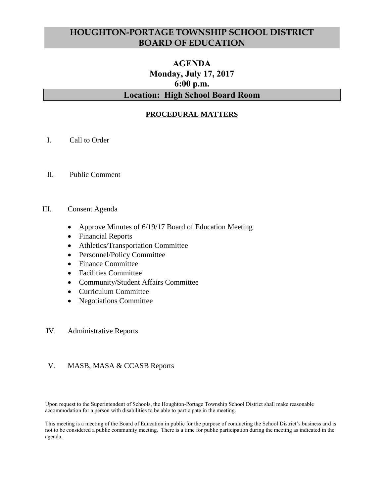# **HOUGHTON-PORTAGE TOWNSHIP SCHOOL DISTRICT BOARD OF EDUCATION**

# **AGENDA Monday, July 17, 2017 6:00 p.m. Location: High School Board Room**

# **PROCEDURAL MATTERS**

- I. Call to Order
- II. Public Comment

#### III. Consent Agenda

- Approve Minutes of 6/19/17 Board of Education Meeting
- Financial Reports
- Athletics/Transportation Committee
- Personnel/Policy Committee
- Finance Committee
- Facilities Committee
- Community/Student Affairs Committee
- Curriculum Committee
- Negotiations Committee

#### IV. Administrative Reports

#### V. MASB, MASA & CCASB Reports

Upon request to the Superintendent of Schools, the Houghton-Portage Township School District shall make reasonable accommodation for a person with disabilities to be able to participate in the meeting.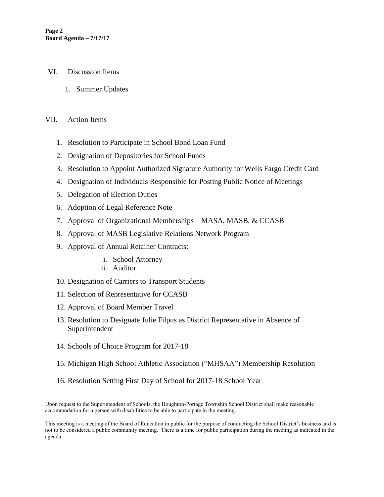- VI. Discussion Items
	- 1. Summer Updates

#### VII. Action Items

- 1. Resolution to Participate in School Bond Loan Fund
- 2. Designation of Depositories for School Funds
- 3. Resolution to Appoint Authorized Signature Authority for Wells Fargo Credit Card
- 4. Designation of Individuals Responsible for Posting Public Notice of Meetings
- 5. Delegation of Election Duties
- 6. Adoption of Legal Reference Note
- 7. Approval of Organizational Memberships MASA, MASB, & CCASB
- 8. Approval of MASB Legislative Relations Network Program
- 9. Approval of Annual Retainer Contracts:
	- i. School Attorney
	- ii. Auditor
- 10. Designation of Carriers to Transport Students
- 11. Selection of Representative for CCASB
- 12. Approval of Board Member Travel
- 13. Resolution to Designate Julie Filpus as District Representative in Absence of Superintendent
- 14. Schools of Choice Program for 2017-18
- 15. Michigan High School Athletic Association ("MHSAA") Membership Resolution
- 16. Resolution Setting First Day of School for 2017-18 School Year

Upon request to the Superintendent of Schools, the Houghton-Portage Township School District shall make reasonable accommodation for a person with disabilities to be able to participate in the meeting.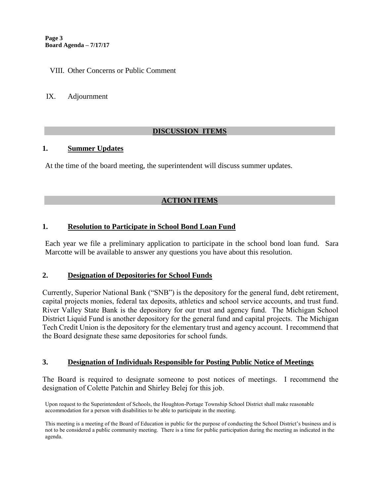#### VIII. Other Concerns or Public Comment

IX. Adjournment

# **DISCUSSION ITEMS**

#### **1. Summer Updates**

At the time of the board meeting, the superintendent will discuss summer updates.

# **ACTION ITEMS**

# **1. Resolution to Participate in School Bond Loan Fund**

Each year we file a preliminary application to participate in the school bond loan fund. Sara Marcotte will be available to answer any questions you have about this resolution.

#### **2. Designation of Depositories for School Funds**

Currently, Superior National Bank ("SNB") is the depository for the general fund, debt retirement, capital projects monies, federal tax deposits, athletics and school service accounts, and trust fund. River Valley State Bank is the depository for our trust and agency fund. The Michigan School District Liquid Fund is another depository for the general fund and capital projects. The Michigan Tech Credit Union is the depository for the elementary trust and agency account. I recommend that the Board designate these same depositories for school funds.

# **3. Designation of Individuals Responsible for Posting Public Notice of Meetings**

The Board is required to designate someone to post notices of meetings. I recommend the designation of Colette Patchin and Shirley Belej for this job.

Upon request to the Superintendent of Schools, the Houghton-Portage Township School District shall make reasonable accommodation for a person with disabilities to be able to participate in the meeting.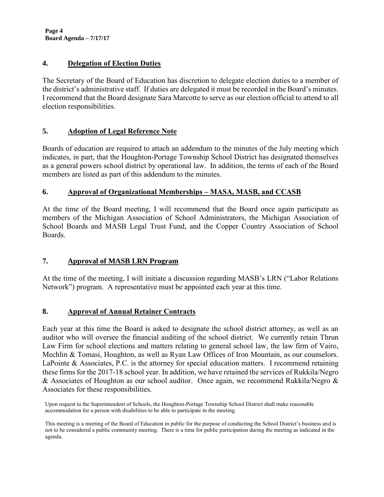**Page 4 Board Agenda – 7/17/17**

# **4. Delegation of Election Duties**

The Secretary of the Board of Education has discretion to delegate election duties to a member of the district's administrative staff. If duties are delegated it must be recorded in the Board's minutes. I recommend that the Board designate Sara Marcotte to serve as our election official to attend to all election responsibilities.

# **5. Adoption of Legal Reference Note**

Boards of education are required to attach an addendum to the minutes of the July meeting which indicates, in part, that the Houghton-Portage Township School District has designated themselves as a general powers school district by operational law. In addition, the terms of each of the Board members are listed as part of this addendum to the minutes.

# **6. Approval of Organizational Memberships – MASA, MASB, and CCASB**

At the time of the Board meeting, I will recommend that the Board once again participate as members of the Michigan Association of School Administrators, the Michigan Association of School Boards and MASB Legal Trust Fund, and the Copper Country Association of School Boards.

# **7. Approval of MASB LRN Program**

At the time of the meeting, I will initiate a discussion regarding MASB's LRN ("Labor Relations Network") program. A representative must be appointed each year at this time.

# **8. Approval of Annual Retainer Contracts**

Each year at this time the Board is asked to designate the school district attorney, as well as an auditor who will oversee the financial auditing of the school district. We currently retain Thrun Law Firm for school elections and matters relating to general school law, the law firm of Vairo, Mechlin & Tomasi, Houghton, as well as Ryan Law Offices of Iron Mountain, as our counselors. LaPointe & Associates, P.C. is the attorney for special education matters. I recommend retaining these firms for the 2017-18 school year. In addition, we have retained the services of Rukkila/Negro & Associates of Houghton as our school auditor. Once again, we recommend Rukkila/Negro & Associates for these responsibilities.

Upon request to the Superintendent of Schools, the Houghton-Portage Township School District shall make reasonable accommodation for a person with disabilities to be able to participate in the meeting.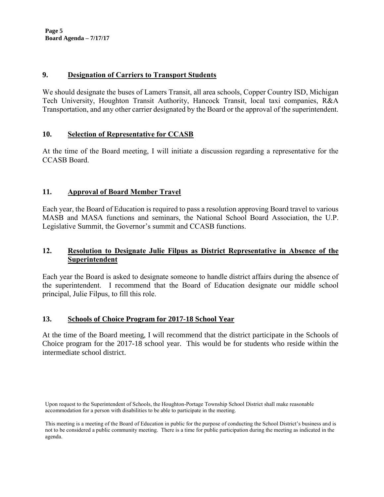**Page 5 Board Agenda – 7/17/17**

#### **9. Designation of Carriers to Transport Students**

We should designate the buses of Lamers Transit, all area schools, Copper Country ISD, Michigan Tech University, Houghton Transit Authority, Hancock Transit, local taxi companies, R&A Transportation, and any other carrier designated by the Board or the approval of the superintendent.

#### **10. Selection of Representative for CCASB**

At the time of the Board meeting, I will initiate a discussion regarding a representative for the CCASB Board.

#### **11. Approval of Board Member Travel**

Each year, the Board of Education is required to pass a resolution approving Board travel to various MASB and MASA functions and seminars, the National School Board Association, the U.P. Legislative Summit, the Governor's summit and CCASB functions.

# **12. Resolution to Designate Julie Filpus as District Representative in Absence of the Superintendent**

Each year the Board is asked to designate someone to handle district affairs during the absence of the superintendent. I recommend that the Board of Education designate our middle school principal, Julie Filpus, to fill this role.

# **13. Schools of Choice Program for 2017-18 School Year**

At the time of the Board meeting, I will recommend that the district participate in the Schools of Choice program for the 2017-18 school year. This would be for students who reside within the intermediate school district.

Upon request to the Superintendent of Schools, the Houghton-Portage Township School District shall make reasonable accommodation for a person with disabilities to be able to participate in the meeting.

This meeting is a meeting of the Board of Education in public for the purpose of conducting the School District's business and is not to be considered a public community meeting. There is a time for public participation during the meeting as indicated in the agenda.